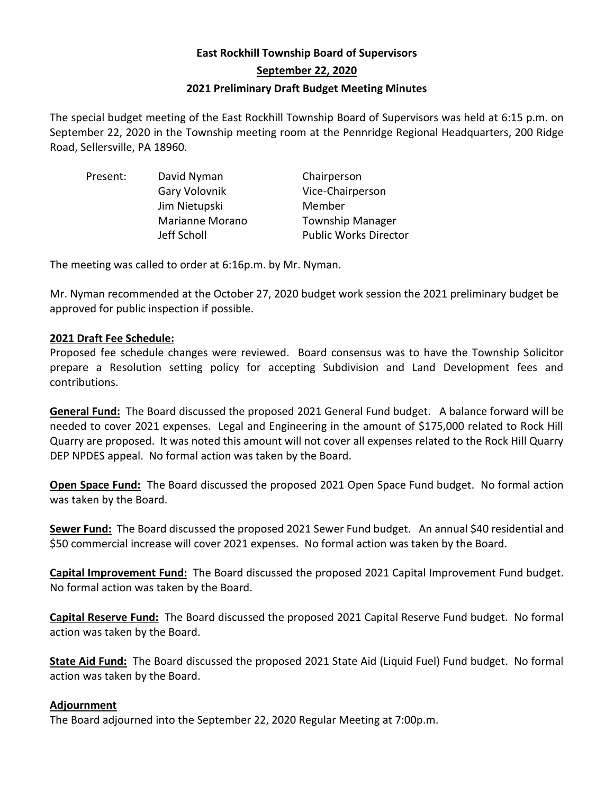# **East Rockhill Township Board of Supervisors September 22, 2020 2021 Preliminary Draft Budget Meeting Minutes**

The special budget meeting of the East Rockhill Township Board of Supervisors was held at 6:15 p.m. on September 22, 2020 in the Township meeting room at the Pennridge Regional Headquarters, 200 Ridge Road, Sellersville, PA 18960.

| Present: | David Nyman     | Chairperson                  |
|----------|-----------------|------------------------------|
|          | Gary Volovnik   | Vice-Chairperson             |
|          | Jim Nietupski   | Member                       |
|          | Marianne Morano | <b>Township Manager</b>      |
|          | Jeff Scholl     | <b>Public Works Director</b> |

The meeting was called to order at 6:16p.m. by Mr. Nyman.

Mr. Nyman recommended at the October 27, 2020 budget work session the 2021 preliminary budget be approved for public inspection if possible.

## **2021 Draft Fee Schedule:**

Proposed fee schedule changes were reviewed. Board consensus was to have the Township Solicitor prepare a Resolution setting policy for accepting Subdivision and Land Development fees and contributions.

**General Fund:** The Board discussed the proposed 2021 General Fund budget. A balance forward will be needed to cover 2021 expenses. Legal and Engineering in the amount of \$175,000 related to Rock Hill Quarry are proposed. It was noted this amount will not cover all expenses related to the Rock Hill Quarry DEP NPDES appeal. No formal action was taken by the Board.

**Open Space Fund:** The Board discussed the proposed 2021 Open Space Fund budget. No formal action was taken by the Board.

**Sewer Fund:** The Board discussed the proposed 2021 Sewer Fund budget. An annual \$40 residential and \$50 commercial increase will cover 2021 expenses. No formal action was taken by the Board.

**Capital Improvement Fund:** The Board discussed the proposed 2021 Capital Improvement Fund budget. No formal action was taken by the Board.

**Capital Reserve Fund:** The Board discussed the proposed 2021 Capital Reserve Fund budget. No formal action was taken by the Board.

**State Aid Fund:** The Board discussed the proposed 2021 State Aid (Liquid Fuel) Fund budget. No formal action was taken by the Board.

## **Adjournment**

The Board adjourned into the September 22, 2020 Regular Meeting at 7:00p.m.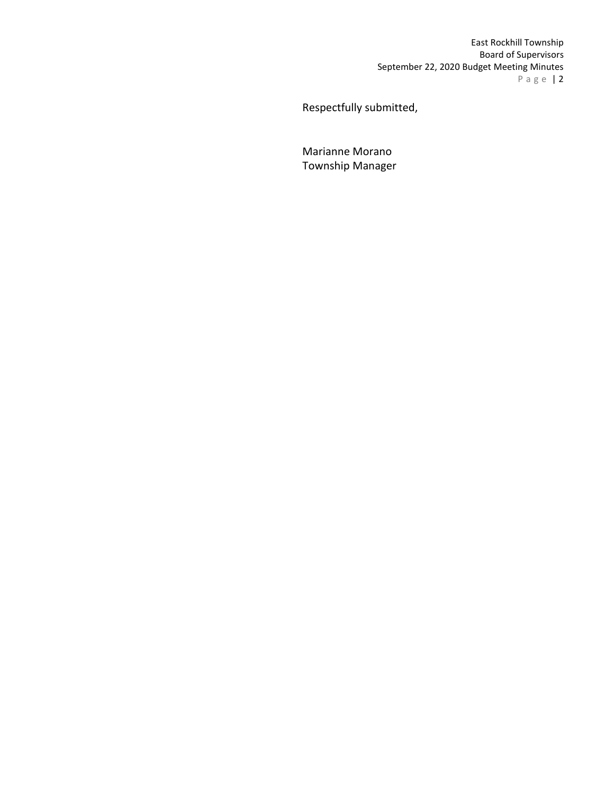East Rockhill Township Board of Supervisors September 22, 2020 Budget Meeting Minutes P a g e | 2

Respectfully submitted,

Marianne Morano Township Manager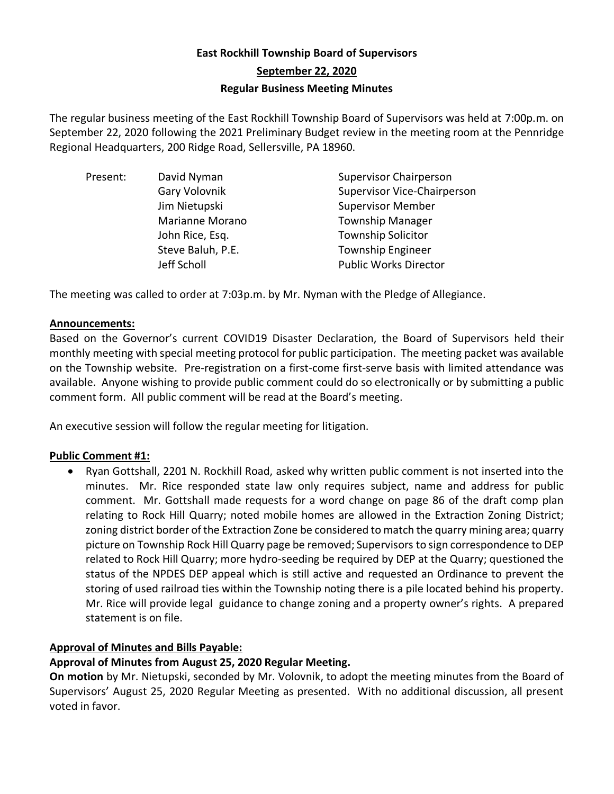# **East Rockhill Township Board of Supervisors September 22, 2020 Regular Business Meeting Minutes**

The regular business meeting of the East Rockhill Township Board of Supervisors was held at 7:00p.m. on September 22, 2020 following the 2021 Preliminary Budget review in the meeting room at the Pennridge Regional Headquarters, 200 Ridge Road, Sellersville, PA 18960.

| David Nyman       | <b>Supervisor Chairperson</b>      |
|-------------------|------------------------------------|
| Gary Volovnik     | <b>Supervisor Vice-Chairperson</b> |
| Jim Nietupski     | <b>Supervisor Member</b>           |
| Marianne Morano   | <b>Township Manager</b>            |
| John Rice, Esq.   | <b>Township Solicitor</b>          |
| Steve Baluh, P.E. | <b>Township Engineer</b>           |
| Jeff Scholl       | <b>Public Works Director</b>       |
|                   |                                    |

The meeting was called to order at 7:03p.m. by Mr. Nyman with the Pledge of Allegiance.

## **Announcements:**

Based on the Governor's current COVID19 Disaster Declaration, the Board of Supervisors held their monthly meeting with special meeting protocol for public participation. The meeting packet was available on the Township website. Pre-registration on a first-come first-serve basis with limited attendance was available. Anyone wishing to provide public comment could do so electronically or by submitting a public comment form. All public comment will be read at the Board's meeting.

An executive session will follow the regular meeting for litigation.

## **Public Comment #1:**

• Ryan Gottshall, 2201 N. Rockhill Road, asked why written public comment is not inserted into the minutes. Mr. Rice responded state law only requires subject, name and address for public comment. Mr. Gottshall made requests for a word change on page 86 of the draft comp plan relating to Rock Hill Quarry; noted mobile homes are allowed in the Extraction Zoning District; zoning district border of the Extraction Zone be considered to match the quarry mining area; quarry picture on Township Rock Hill Quarry page be removed; Supervisors to sign correspondence to DEP related to Rock Hill Quarry; more hydro-seeding be required by DEP at the Quarry; questioned the status of the NPDES DEP appeal which is still active and requested an Ordinance to prevent the storing of used railroad ties within the Township noting there is a pile located behind his property. Mr. Rice will provide legal guidance to change zoning and a property owner's rights. A prepared statement is on file.

## **Approval of Minutes and Bills Payable:**

## **Approval of Minutes from August 25, 2020 Regular Meeting.**

**On motion** by Mr. Nietupski, seconded by Mr. Volovnik, to adopt the meeting minutes from the Board of Supervisors' August 25, 2020 Regular Meeting as presented. With no additional discussion, all present voted in favor.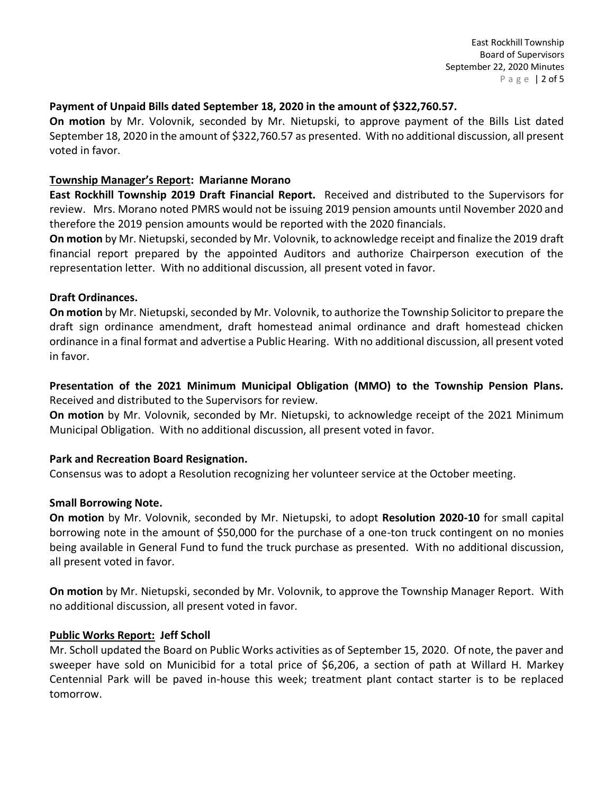#### **Payment of Unpaid Bills dated September 18, 2020 in the amount of \$322,760.57.**

**On motion** by Mr. Volovnik, seconded by Mr. Nietupski, to approve payment of the Bills List dated September 18, 2020 in the amount of \$322,760.57 as presented. With no additional discussion, all present voted in favor.

#### **Township Manager's Report: Marianne Morano**

**East Rockhill Township 2019 Draft Financial Report.** Received and distributed to the Supervisors for review. Mrs. Morano noted PMRS would not be issuing 2019 pension amounts until November 2020 and therefore the 2019 pension amounts would be reported with the 2020 financials.

**On motion** by Mr. Nietupski, seconded by Mr. Volovnik, to acknowledge receipt and finalize the 2019 draft financial report prepared by the appointed Auditors and authorize Chairperson execution of the representation letter. With no additional discussion, all present voted in favor.

#### **Draft Ordinances.**

**On motion** by Mr. Nietupski, seconded by Mr. Volovnik, to authorize the Township Solicitor to prepare the draft sign ordinance amendment, draft homestead animal ordinance and draft homestead chicken ordinance in a final format and advertise a Public Hearing. With no additional discussion, all present voted in favor.

**Presentation of the 2021 Minimum Municipal Obligation (MMO) to the Township Pension Plans.**  Received and distributed to the Supervisors for review.

**On motion** by Mr. Volovnik, seconded by Mr. Nietupski, to acknowledge receipt of the 2021 Minimum Municipal Obligation. With no additional discussion, all present voted in favor.

## **Park and Recreation Board Resignation.**

Consensus was to adopt a Resolution recognizing her volunteer service at the October meeting.

#### **Small Borrowing Note.**

**On motion** by Mr. Volovnik, seconded by Mr. Nietupski, to adopt **Resolution 2020-10** for small capital borrowing note in the amount of \$50,000 for the purchase of a one-ton truck contingent on no monies being available in General Fund to fund the truck purchase as presented. With no additional discussion, all present voted in favor.

**On motion** by Mr. Nietupski, seconded by Mr. Volovnik, to approve the Township Manager Report. With no additional discussion, all present voted in favor.

#### **Public Works Report: Jeff Scholl**

Mr. Scholl updated the Board on Public Works activities as of September 15, 2020. Of note, the paver and sweeper have sold on Municibid for a total price of \$6,206, a section of path at Willard H. Markey Centennial Park will be paved in-house this week; treatment plant contact starter is to be replaced tomorrow.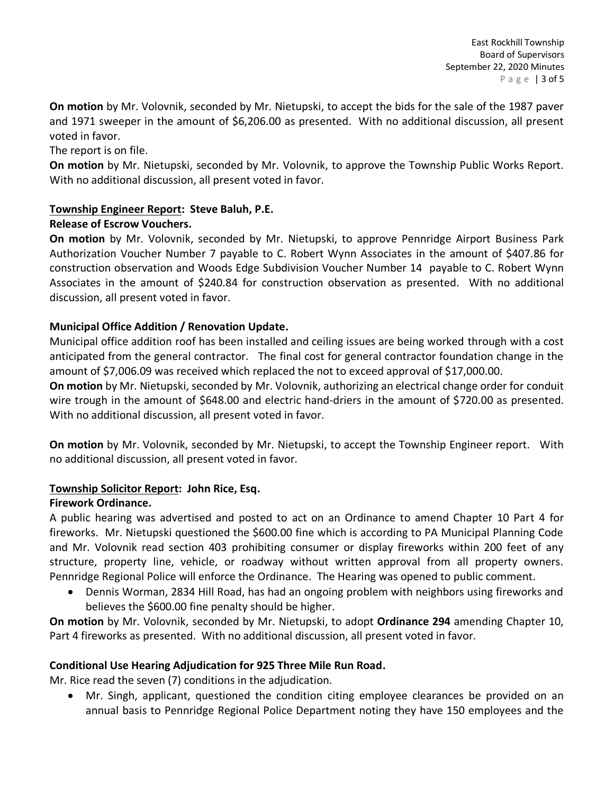**On motion** by Mr. Volovnik, seconded by Mr. Nietupski, to accept the bids for the sale of the 1987 paver and 1971 sweeper in the amount of \$6,206.00 as presented. With no additional discussion, all present voted in favor.

The report is on file.

**On motion** by Mr. Nietupski, seconded by Mr. Volovnik, to approve the Township Public Works Report. With no additional discussion, all present voted in favor.

## **Township Engineer Report: Steve Baluh, P.E.**

## **Release of Escrow Vouchers.**

**On motion** by Mr. Volovnik, seconded by Mr. Nietupski, to approve Pennridge Airport Business Park Authorization Voucher Number 7 payable to C. Robert Wynn Associates in the amount of \$407.86 for construction observation and Woods Edge Subdivision Voucher Number 14 payable to C. Robert Wynn Associates in the amount of \$240.84 for construction observation as presented. With no additional discussion, all present voted in favor.

# **Municipal Office Addition / Renovation Update.**

Municipal office addition roof has been installed and ceiling issues are being worked through with a cost anticipated from the general contractor. The final cost for general contractor foundation change in the amount of \$7,006.09 was received which replaced the not to exceed approval of \$17,000.00.

**On motion** by Mr. Nietupski, seconded by Mr. Volovnik, authorizing an electrical change order for conduit wire trough in the amount of \$648.00 and electric hand-driers in the amount of \$720.00 as presented. With no additional discussion, all present voted in favor.

**On motion** by Mr. Volovnik, seconded by Mr. Nietupski, to accept the Township Engineer report. With no additional discussion, all present voted in favor.

## **Township Solicitor Report: John Rice, Esq.**

## **Firework Ordinance.**

A public hearing was advertised and posted to act on an Ordinance to amend Chapter 10 Part 4 for fireworks. Mr. Nietupski questioned the \$600.00 fine which is according to PA Municipal Planning Code and Mr. Volovnik read section 403 prohibiting consumer or display fireworks within 200 feet of any structure, property line, vehicle, or roadway without written approval from all property owners. Pennridge Regional Police will enforce the Ordinance. The Hearing was opened to public comment.

• Dennis Worman, 2834 Hill Road, has had an ongoing problem with neighbors using fireworks and believes the \$600.00 fine penalty should be higher.

**On motion** by Mr. Volovnik, seconded by Mr. Nietupski, to adopt **Ordinance 294** amending Chapter 10, Part 4 fireworks as presented. With no additional discussion, all present voted in favor.

## **Conditional Use Hearing Adjudication for 925 Three Mile Run Road.**

Mr. Rice read the seven (7) conditions in the adjudication.

• Mr. Singh, applicant, questioned the condition citing employee clearances be provided on an annual basis to Pennridge Regional Police Department noting they have 150 employees and the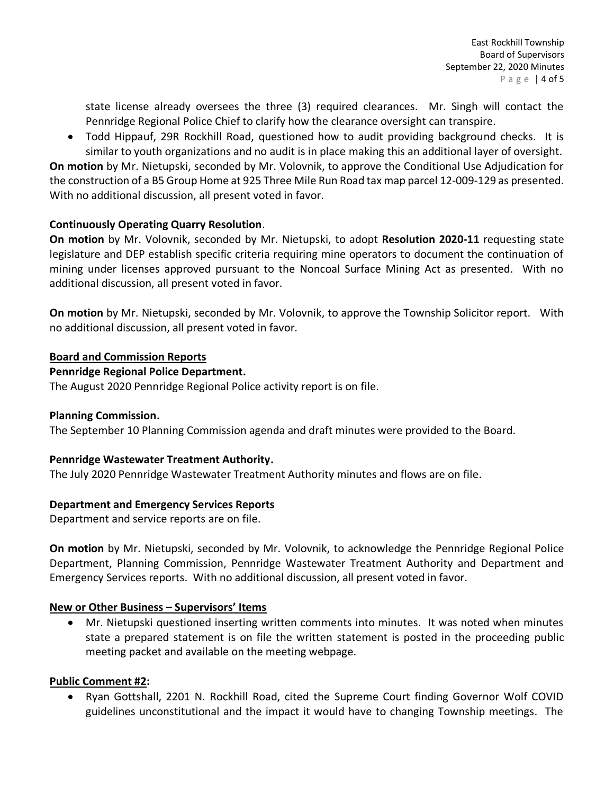state license already oversees the three (3) required clearances. Mr. Singh will contact the Pennridge Regional Police Chief to clarify how the clearance oversight can transpire.

• Todd Hippauf, 29R Rockhill Road, questioned how to audit providing background checks. It is similar to youth organizations and no audit is in place making this an additional layer of oversight.

**On motion** by Mr. Nietupski, seconded by Mr. Volovnik, to approve the Conditional Use Adjudication for the construction of a B5 Group Home at 925 Three Mile Run Road tax map parcel 12-009-129 as presented. With no additional discussion, all present voted in favor.

# **Continuously Operating Quarry Resolution**.

**On motion** by Mr. Volovnik, seconded by Mr. Nietupski, to adopt **Resolution 2020-11** requesting state legislature and DEP establish specific criteria requiring mine operators to document the continuation of mining under licenses approved pursuant to the Noncoal Surface Mining Act as presented. With no additional discussion, all present voted in favor.

**On motion** by Mr. Nietupski, seconded by Mr. Volovnik, to approve the Township Solicitor report. With no additional discussion, all present voted in favor.

## **Board and Commission Reports**

# **Pennridge Regional Police Department.**

The August 2020 Pennridge Regional Police activity report is on file.

## **Planning Commission.**

The September 10 Planning Commission agenda and draft minutes were provided to the Board.

## **Pennridge Wastewater Treatment Authority.**

The July 2020 Pennridge Wastewater Treatment Authority minutes and flows are on file.

## **Department and Emergency Services Reports**

Department and service reports are on file.

**On motion** by Mr. Nietupski, seconded by Mr. Volovnik, to acknowledge the Pennridge Regional Police Department, Planning Commission, Pennridge Wastewater Treatment Authority and Department and Emergency Services reports. With no additional discussion, all present voted in favor.

## **New or Other Business – Supervisors' Items**

• Mr. Nietupski questioned inserting written comments into minutes. It was noted when minutes state a prepared statement is on file the written statement is posted in the proceeding public meeting packet and available on the meeting webpage.

## **Public Comment #2:**

• Ryan Gottshall, 2201 N. Rockhill Road, cited the Supreme Court finding Governor Wolf COVID guidelines unconstitutional and the impact it would have to changing Township meetings. The